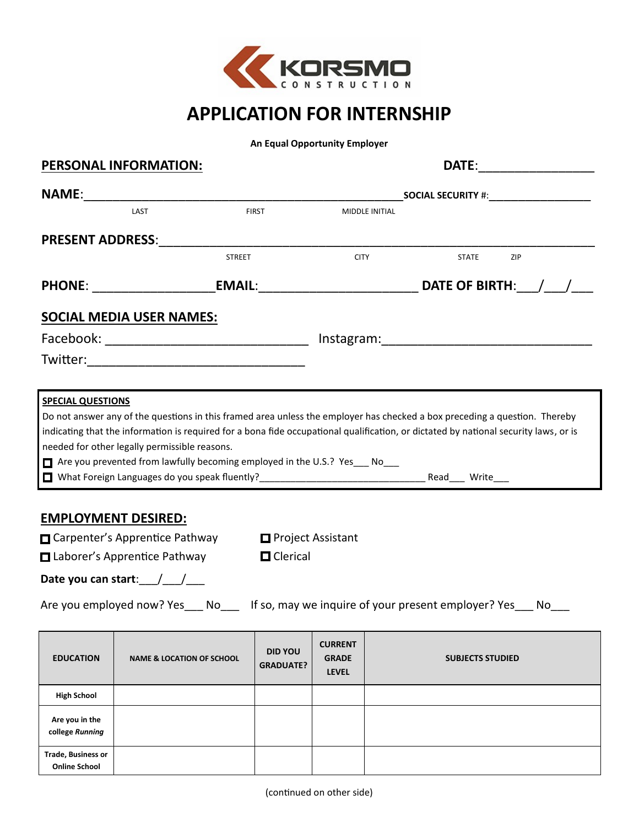

# **APPLICATION FOR INTERNSHIP**

**An Equal Opportunity Employer**

| <b>PERSONAL INFORMATION:</b>                      |                                                                                                                                                               |                                             |                                    |                                                |                |  |                         |     |  |
|---------------------------------------------------|---------------------------------------------------------------------------------------------------------------------------------------------------------------|---------------------------------------------|------------------------------------|------------------------------------------------|----------------|--|-------------------------|-----|--|
|                                                   |                                                                                                                                                               | _SOCIAL SECURITY #: _______________________ |                                    |                                                |                |  |                         |     |  |
|                                                   | LAST                                                                                                                                                          |                                             | <b>FIRST</b>                       |                                                | MIDDLE INITIAL |  |                         |     |  |
|                                                   | <b>PRESENT ADDRESS:</b>                                                                                                                                       |                                             |                                    |                                                |                |  |                         |     |  |
|                                                   |                                                                                                                                                               | <b>STREET</b>                               |                                    | <b>CITY</b>                                    |                |  | <b>STATE</b>            | ZIP |  |
|                                                   |                                                                                                                                                               |                                             |                                    |                                                |                |  |                         |     |  |
|                                                   | <b>SOCIAL MEDIA USER NAMES:</b>                                                                                                                               |                                             |                                    |                                                |                |  |                         |     |  |
|                                                   | Facebook: __________________________________ Instagram:_________________________                                                                              |                                             |                                    |                                                |                |  |                         |     |  |
|                                                   |                                                                                                                                                               |                                             |                                    |                                                |                |  |                         |     |  |
|                                                   | needed for other legally permissible reasons.<br>□ Are you prevented from lawfully becoming employed in the U.S.? Yes ___ No___<br><b>EMPLOYMENT DESIRED:</b> |                                             |                                    |                                                |                |  |                         |     |  |
|                                                   | □ Carpenter's Apprentice Pathway □ Project Assistant                                                                                                          |                                             |                                    |                                                |                |  |                         |     |  |
|                                                   | □ Laborer's Apprentice Pathway                                                                                                                                |                                             | <b>O</b> Clerical                  |                                                |                |  |                         |     |  |
|                                                   | Date you can start: $\angle$                                                                                                                                  |                                             |                                    |                                                |                |  |                         |     |  |
|                                                   | Are you employed now? Yes ___ No____ If so, may we inquire of your present employer? Yes ___ No___                                                            |                                             |                                    |                                                |                |  |                         |     |  |
| <b>EDUCATION</b>                                  | <b>NAME &amp; LOCATION OF SCHOOL</b>                                                                                                                          |                                             | <b>DID YOU</b><br><b>GRADUATE?</b> | <b>CURRENT</b><br><b>GRADE</b><br><b>LEVEL</b> |                |  | <b>SUBJECTS STUDIED</b> |     |  |
| <b>High School</b>                                |                                                                                                                                                               |                                             |                                    |                                                |                |  |                         |     |  |
| Are you in the<br>college Running                 |                                                                                                                                                               |                                             |                                    |                                                |                |  |                         |     |  |
| <b>Trade, Business or</b><br><b>Online School</b> |                                                                                                                                                               |                                             |                                    |                                                |                |  |                         |     |  |